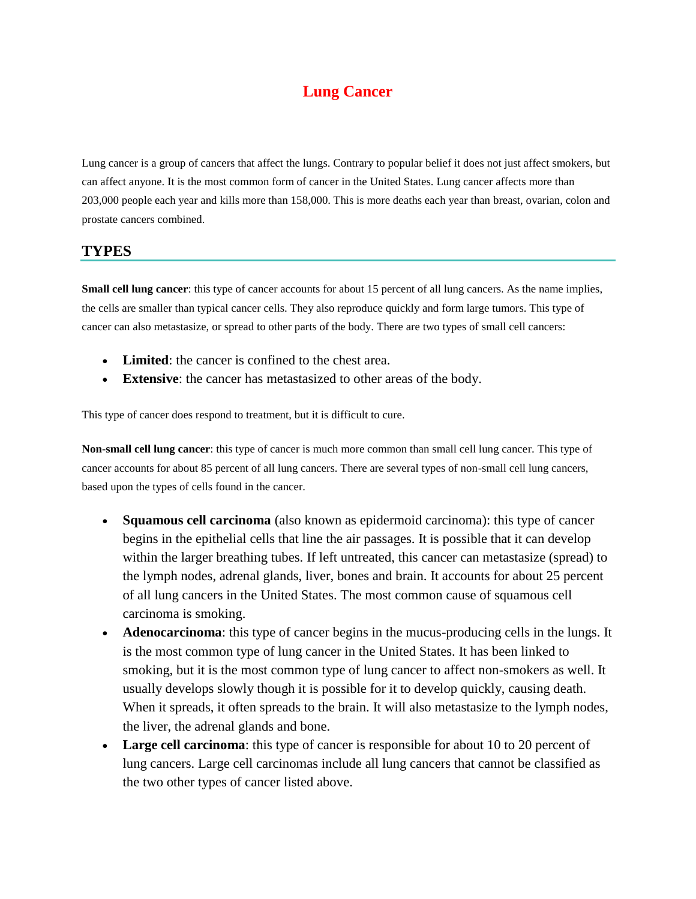# **Lung Cancer**

Lung cancer is a group of cancers that affect the lungs. Contrary to popular belief it does not just affect smokers, but can affect anyone. It is the most common form of cancer in the United States. Lung cancer affects more than 203,000 people each year and kills more than 158,000. This is more deaths each year than breast, ovarian, colon and prostate cancers combined.

#### **TYPES**

**Small cell lung cancer**: this type of cancer accounts for about 15 percent of all lung cancers. As the name implies, the cells are smaller than typical cancer cells. They also reproduce quickly and form large tumors. This type of cancer can also metastasize, or spread to other parts of the body. There are two types of small cell cancers:

- **Limited**: the cancer is confined to the chest area.
- **Extensive**: the cancer has metastasized to other areas of the body.

This type of cancer does respond to treatment, but it is difficult to cure.

**Non-small cell lung cancer**: this type of cancer is much more common than small cell lung cancer. This type of cancer accounts for about 85 percent of all lung cancers. There are several types of non-small cell lung cancers, based upon the types of cells found in the cancer.

- **Squamous cell carcinoma** (also known as epidermoid carcinoma): this type of cancer begins in the epithelial cells that line the air passages. It is possible that it can develop within the larger breathing tubes. If left untreated, this cancer can metastasize (spread) to the lymph nodes, adrenal glands, liver, bones and brain. It accounts for about 25 percent of all lung cancers in the United States. The most common cause of squamous cell carcinoma is smoking.
- **Adenocarcinoma**: this type of cancer begins in the mucus-producing cells in the lungs. It is the most common type of lung cancer in the United States. It has been linked to smoking, but it is the most common type of lung cancer to affect non-smokers as well. It usually develops slowly though it is possible for it to develop quickly, causing death. When it spreads, it often spreads to the brain. It will also metastasize to the lymph nodes, the liver, the adrenal glands and bone.
- Large cell carcinoma: this type of cancer is responsible for about 10 to 20 percent of lung cancers. Large cell carcinomas include all lung cancers that cannot be classified as the two other types of cancer listed above.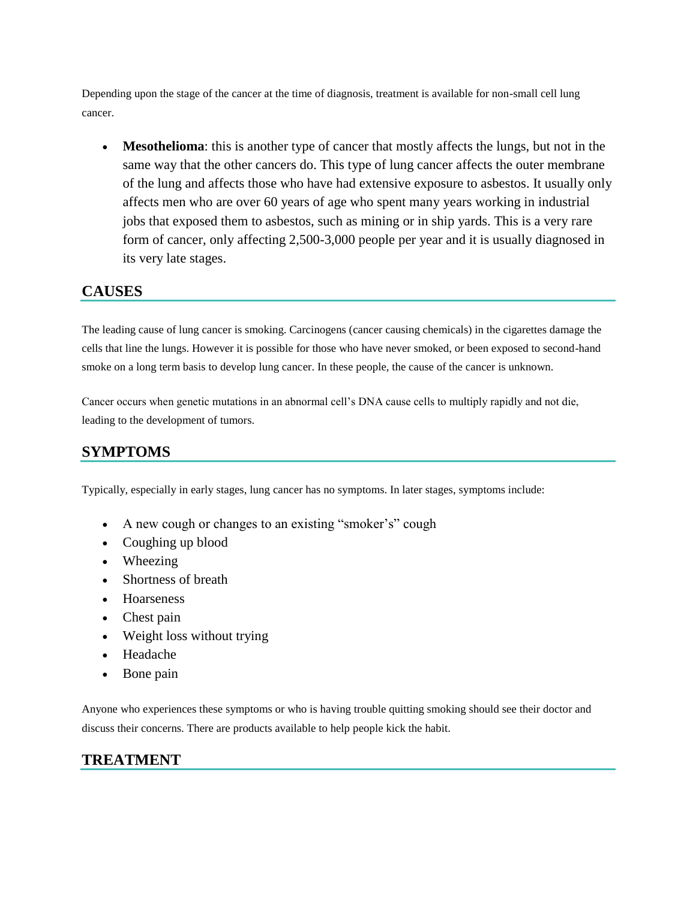Depending upon the stage of the cancer at the time of diagnosis, treatment is available for non-small cell lung cancer.

 **Mesothelioma**: this is another type of cancer that mostly affects the lungs, but not in the same way that the other cancers do. This type of lung cancer affects the outer membrane of the lung and affects those who have had extensive exposure to asbestos. It usually only affects men who are over 60 years of age who spent many years working in industrial jobs that exposed them to asbestos, such as mining or in ship yards. This is a very rare form of cancer, only affecting 2,500-3,000 people per year and it is usually diagnosed in its very late stages.

### **CAUSES**

The leading cause of lung cancer is smoking. Carcinogens (cancer causing chemicals) in the cigarettes damage the cells that line the lungs. However it is possible for those who have never smoked, or been exposed to second-hand smoke on a long term basis to develop lung cancer. In these people, the cause of the cancer is unknown.

Cancer occurs when genetic mutations in an abnormal cell's DNA cause cells to multiply rapidly and not die, leading to the development of tumors.

# **SYMPTOMS**

Typically, especially in early stages, lung cancer has no symptoms. In later stages, symptoms include:

- A new cough or changes to an existing "smoker's" cough
- Coughing up blood
- Wheezing
- Shortness of breath
- Hoarseness
- Chest pain
- Weight loss without trying
- Headache
- Bone pain

Anyone who experiences these symptoms or who is having trouble quitting smoking should see their doctor and discuss their concerns. There are products available to help people kick the habit.

## **TREATMENT**